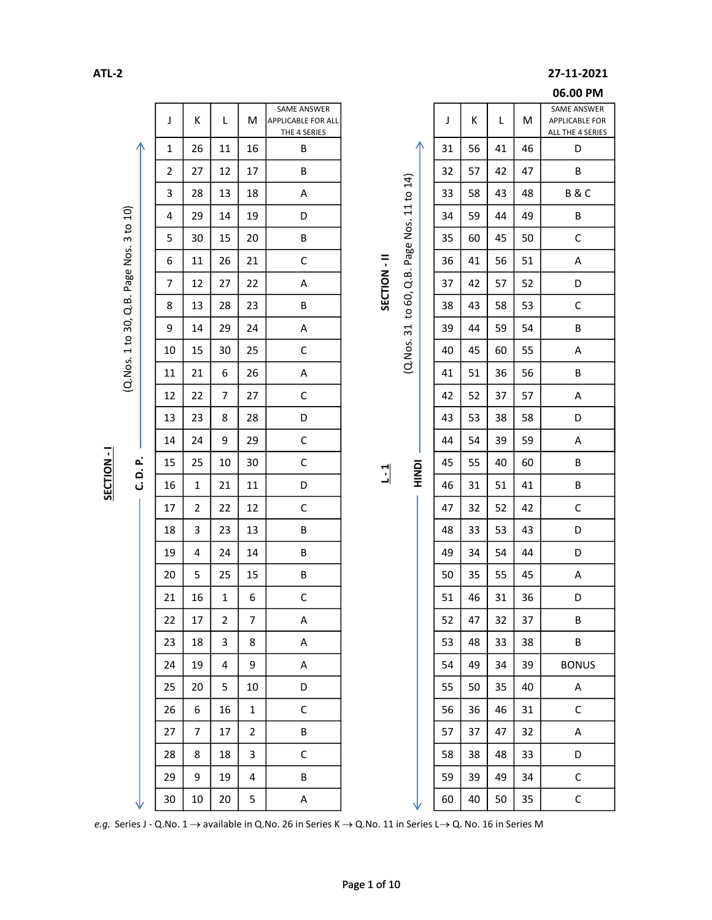## ATL-2 27-11-2021

|                           |                 |                |                |                |                                                          |            |                          |   |    |    |                 |    | 06.00 PM                                                 |
|---------------------------|-----------------|----------------|----------------|----------------|----------------------------------------------------------|------------|--------------------------|---|----|----|-----------------|----|----------------------------------------------------------|
|                           | J               | K              | L              | M              | SAME ANSWER<br><b>APPLICABLE FOR ALL</b><br>THE 4 SERIES |            |                          |   | J  | Κ  | L               | M  | SAME ANSWER<br><b>APPLICABLE FOR</b><br>ALL THE 4 SERIES |
| л                         | 1               | 26             | 11             | 16             | В                                                        |            |                          | ∧ | 31 | 56 | 41              | 46 | D                                                        |
|                           | 2               | 27             | 12             | 17             | В                                                        |            |                          |   | 32 | 57 | 42              | 47 | В                                                        |
|                           | 3               | 28             | 13             | 18             | Α                                                        |            |                          |   | 33 | 58 | 43              | 48 | B&C                                                      |
| to 10)                    | 4               | 29             | 14             | 19             | D                                                        |            | Q.B. Page Nos. 11 to 14) |   | 34 | 59 | 44              | 49 | B                                                        |
| $\boldsymbol{\mathsf{m}}$ | 5               | 30             | 15             | 20             | B                                                        |            |                          |   | 35 | 60 | 45              | 50 | $\mathsf C$                                              |
|                           | 6               | 11             | 26             | 21             | $\mathsf C$                                              |            |                          |   | 36 | 41 | 56              | 51 | A                                                        |
| Q.B. Page Nos.            | 7               | 12             | 27             | 22             | A                                                        | SECTION-II |                          |   | 37 | 42 | 57              | 52 | D                                                        |
|                           | 8               | 13             | 28             | 23             | В                                                        |            | to $60$ ,                |   | 38 | 43 | 58              | 53 | $\mathsf C$                                              |
| (Q.Nos. 1 to 30,          | 9               | 14             | 29             | 24             | Α                                                        |            | $\overline{31}$          |   | 39 | 44 | 59              | 54 | В                                                        |
|                           | 10              | 15             | 30             | 25             | С                                                        |            | (Q.Nos.                  |   | 40 | 45 | 60              | 55 | Α                                                        |
|                           | 11              | 21             | 6              | 26             | Α                                                        |            |                          |   | 41 | 51 | 36              | 56 | B                                                        |
|                           | 12              | 22             | 7              | 27             | $\mathsf{C}$                                             |            |                          |   | 42 | 52 | 37              | 57 | A                                                        |
|                           | 13              | 23             | 8              | 28             | D                                                        |            |                          |   | 43 | 53 | 38              | 58 | D                                                        |
|                           | 14              | 24             | 9              | 29             | С                                                        |            |                          |   | 44 | 54 | 39              | 59 | Α                                                        |
| .<br>ن ن                  | 15              | 25             | 10             | 30             | С                                                        | $-1$       | <b>NONH</b>              |   | 45 | 55 | 40              | 60 | В                                                        |
|                           | 16              | $\mathbf{1}$   | 21             | 11             | D                                                        |            |                          |   | 46 | 31 | 51              | 41 | В                                                        |
|                           | 17              | $\overline{2}$ | 22             | 12             | $\mathsf C$                                              |            |                          |   | 47 | 32 | 52              | 42 | $\mathsf C$                                              |
|                           | 18              | 3              | 23             | 13             | B                                                        |            |                          |   | 48 | 33 | 53              | 43 | D                                                        |
|                           | 19              | 4              | 24             | 14             | B                                                        |            |                          |   | 49 | 34 | 54              | 44 | D                                                        |
|                           | 20              | 5              | 25             | 15             | B                                                        |            |                          |   | 50 | 35 | 55              | 45 | A                                                        |
|                           | 21              | 16             | $\mathbf{1}$   | 6              | $\mathsf{C}$                                             |            |                          |   | 51 | 46 | 31              | 36 | D                                                        |
|                           | 22              | 17             | $2^{\circ}$    | 7 <sup>7</sup> | A                                                        |            |                          |   | 52 | 47 | 32 <sup>2</sup> | 37 | $\mathsf{B}$                                             |
|                           | 23              | 18             | $\overline{3}$ | 8              | A                                                        |            |                          |   | 53 | 48 | 33              | 38 | B                                                        |
|                           | 24              | 19             | $\overline{4}$ | 9              | A                                                        |            |                          |   | 54 | 49 | 34              | 39 | <b>BONUS</b>                                             |
|                           | 25              | 20             | $5\phantom{.}$ | 10             | D                                                        |            |                          |   | 55 | 50 | 35              | 40 | $\mathsf{A}$                                             |
|                           | 26              | 6              | 16             | $\mathbf{1}$   | $\mathsf C$                                              |            |                          |   | 56 | 36 | 46              | 31 | $\mathsf{C}$                                             |
|                           | 27              | 7 <sup>7</sup> | 17             | $2^{\circ}$    | B                                                        |            |                          |   | 57 | 37 | 47              | 32 | A                                                        |
|                           | 28              | 8              | 18             | $\overline{3}$ | $\mathsf C$                                              |            |                          |   | 58 | 38 | 48              | 33 | D                                                        |
|                           | 29              | 9              | 19             | $\overline{4}$ | B                                                        |            |                          |   | 59 | 39 | 49              | 34 | $\mathsf C$                                              |
| ν                         | 30 <sup>°</sup> | 10             | 20             | 5 <sup>1</sup> | A                                                        |            | ∿                        |   | 60 | 40 | 50              | 35 | $\mathsf{C}$                                             |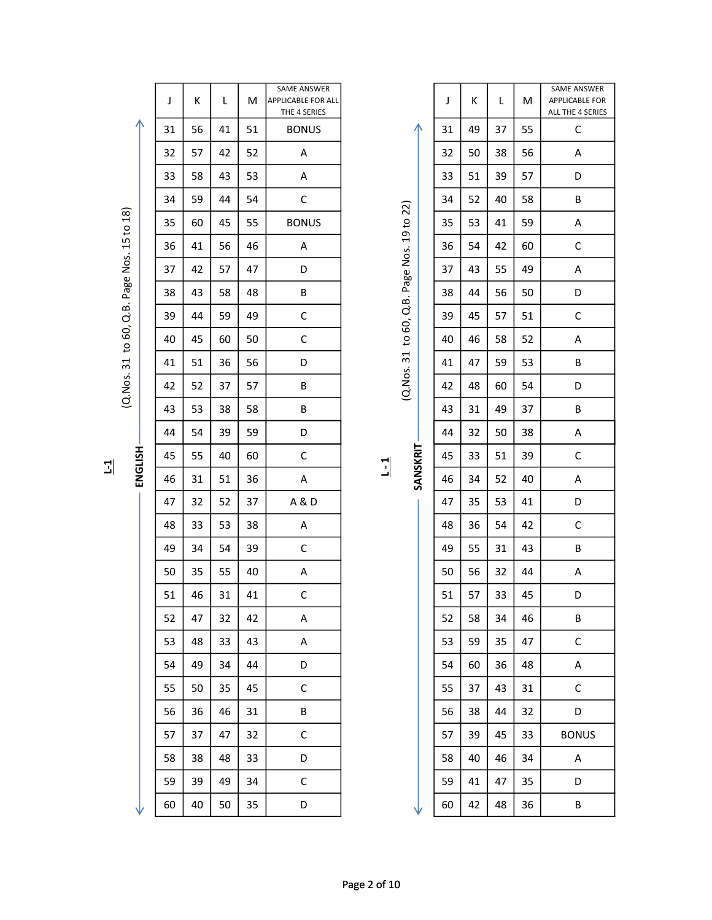|             |         | J  | К  | L  | м  | SAME ANSWER<br>APPLICABLE FOR ALL<br>THE 4 SERIES |               |                  | J  | К  | L  | M  | SAME ANSWER<br>APPLICABLE FOR<br>ALL THE 4 SERIES |
|-------------|---------|----|----|----|----|---------------------------------------------------|---------------|------------------|----|----|----|----|---------------------------------------------------|
|             | ∧       | 31 | 56 | 41 | 51 | <b>BONUS</b>                                      |               | ∧                | 31 | 49 | 37 | 55 | C                                                 |
|             |         | 32 | 57 | 42 | 52 | Α                                                 |               |                  | 32 | 50 | 38 | 56 | A                                                 |
|             |         | 33 | 58 | 43 | 53 | Α                                                 |               |                  | 33 | 51 | 39 | 57 | D                                                 |
|             |         | 34 | 59 | 44 | 54 | С                                                 |               | 22)              | 34 | 52 | 40 | 58 | В                                                 |
| 15 to 18)   |         | 35 | 60 | 45 | 55 | <b>BONUS</b>                                      |               | 19 <sub>to</sub> | 35 | 53 | 41 | 59 | Α                                                 |
|             |         | 36 | 41 | 56 | 46 | Α                                                 |               |                  | 36 | 54 | 42 | 60 | $\mathsf C$                                       |
| Page Nos.   |         | 37 | 42 | 57 | 47 | D                                                 |               | Page Nos.        | 37 | 43 | 55 | 49 | A                                                 |
|             |         | 38 | 43 | 58 | 48 | В                                                 |               |                  | 38 | 44 | 56 | 50 | D                                                 |
|             |         | 39 | 44 | 59 | 49 | $\mathsf C$                                       |               | Q.B.<br>60,      | 39 | 45 | 57 | 51 | $\mathsf C$                                       |
| to 60, Q.B. |         | 40 | 45 | 60 | 50 | C                                                 |               | $\overline{c}$   | 40 | 46 | 58 | 52 | Α                                                 |
|             |         | 41 | 51 | 36 | 56 | D                                                 |               | 31               | 41 | 47 | 59 | 53 | В                                                 |
| (Q.Nos. 31  |         | 42 | 52 | 37 | 57 | B                                                 |               | (Q.Nos.          | 42 | 48 | 60 | 54 | D                                                 |
|             |         | 43 | 53 | 38 | 58 | В                                                 |               |                  | 43 | 31 | 49 | 37 | В                                                 |
|             |         | 44 | 54 | 39 | 59 | D                                                 |               |                  | 44 | 32 | 50 | 38 | A                                                 |
| 괴           | ENGLISH | 45 | 55 | 40 | 60 | $\mathsf C$                                       | $\frac{1}{2}$ | SANSKRIT         | 45 | 33 | 51 | 39 | $\mathsf C$                                       |
|             |         | 46 | 31 | 51 | 36 | Α                                                 |               |                  | 46 | 34 | 52 | 40 | Α                                                 |
|             |         | 47 | 32 | 52 | 37 | A & D                                             |               |                  | 47 | 35 | 53 | 41 | D                                                 |
|             |         | 48 | 33 | 53 | 38 | Α                                                 |               |                  | 48 | 36 | 54 | 42 | $\mathsf C$                                       |
|             |         | 49 | 34 | 54 | 39 | C                                                 |               |                  | 49 | 55 | 31 | 43 | В                                                 |
|             |         | 50 | 35 | 55 | 40 | Α                                                 |               |                  | 50 | 56 | 32 | 44 | Α                                                 |
|             |         | 51 | 46 | 31 | 41 | $\mathsf C$                                       |               |                  | 51 | 57 | 33 | 45 | D                                                 |
|             |         | 52 | 47 | 32 | 42 | A                                                 |               |                  | 52 | 58 | 34 | 46 | B                                                 |
|             |         | 53 | 48 | 33 | 43 | A                                                 |               |                  | 53 | 59 | 35 | 47 | $\mathsf{C}$                                      |
|             |         | 54 | 49 | 34 | 44 | D                                                 |               |                  | 54 | 60 | 36 | 48 | A                                                 |
|             |         | 55 | 50 | 35 | 45 | $\mathsf{C}$                                      |               |                  | 55 | 37 | 43 | 31 | $\mathsf{C}$                                      |
|             |         | 56 | 36 | 46 | 31 | В                                                 |               |                  | 56 | 38 | 44 | 32 | D                                                 |
|             |         | 57 | 37 | 47 | 32 | $\mathsf C$                                       |               |                  | 57 | 39 | 45 | 33 | <b>BONUS</b>                                      |
|             |         | 58 | 38 | 48 | 33 | D                                                 |               |                  | 58 | 40 | 46 | 34 | A                                                 |
|             |         | 59 | 39 | 49 | 34 | $\mathsf{C}$                                      |               |                  | 59 | 41 | 47 | 35 | D                                                 |
|             |         | 60 | 40 | 50 | 35 | D                                                 |               |                  | 60 | 42 | 48 | 36 | $\sf B$                                           |

| J  | Κ  | L  | M  | SAME ANSWER<br><b>APPLICABLE FOR ALL</b><br>THE 4 SERIES |              |                                 |          | J  | К  | L  | M  | SAME ANSWER<br>APPLICABLE FOR<br>ALL THE 4 SERIES |
|----|----|----|----|----------------------------------------------------------|--------------|---------------------------------|----------|----|----|----|----|---------------------------------------------------|
| 31 | 56 | 41 | 51 | <b>BONUS</b>                                             |              |                                 |          | 31 | 49 | 37 | 55 | $\mathsf C$                                       |
| 32 | 57 | 42 | 52 | Α                                                        |              |                                 |          | 32 | 50 | 38 | 56 | Α                                                 |
| 33 | 58 | 43 | 53 | Α                                                        |              |                                 |          | 33 | 51 | 39 | 57 | D                                                 |
| 34 | 59 | 44 | 54 | $\mathsf C$                                              |              |                                 |          | 34 | 52 | 40 | 58 | B                                                 |
| 35 | 60 | 45 | 55 | <b>BONUS</b>                                             |              | to 60, Q.B. Page Nos. 19 to 22) |          | 35 | 53 | 41 | 59 | Α                                                 |
| 36 | 41 | 56 | 46 | A                                                        |              |                                 |          | 36 | 54 | 42 | 60 | С                                                 |
| 37 | 42 | 57 | 47 | D                                                        |              |                                 |          | 37 | 43 | 55 | 49 | Α                                                 |
| 38 | 43 | 58 | 48 | B                                                        |              |                                 |          | 38 | 44 | 56 | 50 | D                                                 |
| 39 | 44 | 59 | 49 | C                                                        |              |                                 |          | 39 | 45 | 57 | 51 | С                                                 |
| 40 | 45 | 60 | 50 | C                                                        |              |                                 |          | 40 | 46 | 58 | 52 | Α                                                 |
| 41 | 51 | 36 | 56 | D                                                        |              | (Q.Nos. 31                      |          | 41 | 47 | 59 | 53 | В                                                 |
| 42 | 52 | 37 | 57 | B                                                        |              |                                 |          | 42 | 48 | 60 | 54 | D                                                 |
| 43 | 53 | 38 | 58 | B                                                        |              |                                 |          | 43 | 31 | 49 | 37 | В                                                 |
| 44 | 54 | 39 | 59 | D                                                        |              |                                 |          | 44 | 32 | 50 | 38 | Α                                                 |
| 45 | 55 | 40 | 60 | C                                                        | $\mathbb{I}$ |                                 | SANSKRIT | 45 | 33 | 51 | 39 | C                                                 |
| 46 | 31 | 51 | 36 | A                                                        |              |                                 |          | 46 | 34 | 52 | 40 | Α                                                 |
| 47 | 32 | 52 | 37 | A&D                                                      |              |                                 |          | 47 | 35 | 53 | 41 | D                                                 |
| 48 | 33 | 53 | 38 | A                                                        |              |                                 |          | 48 | 36 | 54 | 42 | С                                                 |
| 49 | 34 | 54 | 39 | $\mathsf C$                                              |              |                                 |          | 49 | 55 | 31 | 43 | В                                                 |
| 50 | 35 | 55 | 40 | Α                                                        |              |                                 |          | 50 | 56 | 32 | 44 | Α                                                 |
| 51 | 46 | 31 | 41 | $\mathsf C$                                              |              |                                 |          | 51 | 57 | 33 | 45 | D                                                 |
| 52 | 47 | 32 | 42 | Α                                                        |              |                                 |          | 52 | 58 | 34 | 46 | В                                                 |
| 53 | 48 | 33 | 43 | A                                                        |              |                                 |          | 53 | 59 | 35 | 47 | С                                                 |
| 54 | 49 | 34 | 44 | D                                                        |              |                                 |          | 54 | 60 | 36 | 48 | Α                                                 |
| 55 | 50 | 35 | 45 | C                                                        |              |                                 |          | 55 | 37 | 43 | 31 | C                                                 |
| 56 | 36 | 46 | 31 | B                                                        |              |                                 |          | 56 | 38 | 44 | 32 | D                                                 |
| 57 | 37 | 47 | 32 | C                                                        |              |                                 |          | 57 | 39 | 45 | 33 | <b>BONUS</b>                                      |
| 58 | 38 | 48 | 33 | D                                                        |              |                                 |          | 58 | 40 | 46 | 34 | A                                                 |
| 59 | 39 | 49 | 34 | C                                                        |              |                                 |          | 59 | 41 | 47 | 35 | D                                                 |
| 60 | 40 | 50 | 35 | D                                                        |              |                                 |          | 60 | 42 | 48 | 36 | B                                                 |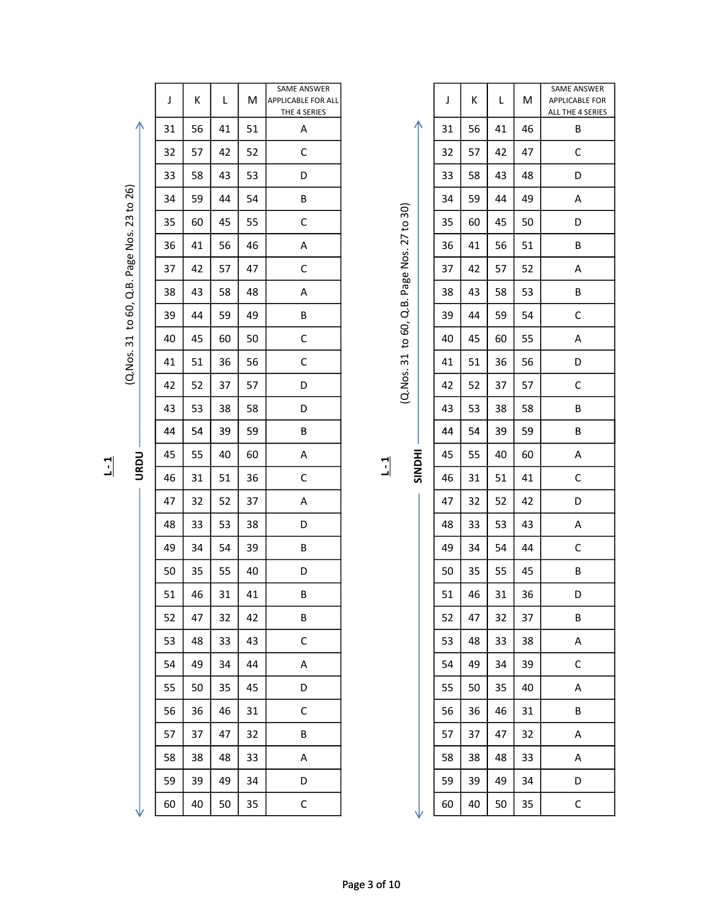|                     | J  | К  | L  | M  | SAME ANSWER<br><b>APPLICABLE FOR ALL</b><br>THE 4 SERIES |                       |               | J  | Κ  | L  | M  | <b>SAME ANSWER</b><br>APPLICABLE FOR<br>ALL THE 4 SERIES |  |
|---------------------|----|----|----|----|----------------------------------------------------------|-----------------------|---------------|----|----|----|----|----------------------------------------------------------|--|
| ∧                   | 31 | 56 | 41 | 51 | Α                                                        |                       | ∧             | 31 | 56 | 41 | 46 | В                                                        |  |
|                     | 32 | 57 | 42 | 52 | $\mathsf C$                                              |                       |               | 32 | 57 | 42 | 47 | $\mathsf{C}$                                             |  |
|                     | 33 | 58 | 43 | 53 | D                                                        |                       |               | 33 | 58 | 43 | 48 | D                                                        |  |
|                     | 34 | 59 | 44 | 54 | B                                                        |                       |               | 34 | 59 | 44 | 49 | A                                                        |  |
|                     | 35 | 60 | 45 | 55 | C                                                        | 27 to 30)             |               | 35 | 60 | 45 | 50 | D                                                        |  |
|                     | 36 | 41 | 56 | 46 | Α                                                        |                       |               | 36 | 41 | 56 | 51 | B                                                        |  |
| Page Nos. 23 to 26) | 37 | 42 | 57 | 47 | C                                                        | Page Nos.             |               | 37 | 42 | 57 | 52 | Α                                                        |  |
| Q.B.                | 38 | 43 | 58 | 48 | Α                                                        |                       |               | 38 | 43 | 58 | 53 | В                                                        |  |
| to 60,              | 39 | 44 | 59 | 49 | B                                                        | d.<br>B.              |               | 39 | 44 | 59 | 54 | $\mathsf C$                                              |  |
| $\overline{31}$     | 40 | 45 | 60 | 50 | C                                                        | 60,<br>$\overline{c}$ |               | 40 | 45 | 60 | 55 | Α                                                        |  |
| (Q.Nos.             | 41 | 51 | 36 | 56 | C                                                        | $\overline{31}$       |               | 41 | 51 | 36 | 56 | D                                                        |  |
|                     | 42 | 52 | 37 | 57 | D                                                        | (Q.Nos.               |               | 42 | 52 | 37 | 57 | $\mathsf C$                                              |  |
|                     | 43 | 53 | 38 | 58 | D                                                        |                       |               | 43 | 53 | 38 | 58 | B                                                        |  |
|                     | 44 | 54 | 39 | 59 | В                                                        |                       |               | 44 | 54 | 39 | 59 | В                                                        |  |
| <b>URDU</b>         | 45 | 55 | 40 | 60 | A                                                        | $\overline{1}$        | <b>HIQNIS</b> | 45 | 55 | 40 | 60 | Α                                                        |  |
|                     | 46 | 31 | 51 | 36 | $\mathsf C$                                              |                       |               | 46 | 31 | 51 | 41 | $\mathsf C$                                              |  |
|                     | 47 | 32 | 52 | 37 | Α                                                        |                       |               | 47 | 32 | 52 | 42 | D                                                        |  |
|                     | 48 | 33 | 53 | 38 | D                                                        |                       |               | 48 | 33 | 53 | 43 | Α                                                        |  |
|                     | 49 | 34 | 54 | 39 | В                                                        |                       |               | 49 | 34 | 54 | 44 | $\mathsf C$                                              |  |
|                     | 50 | 35 | 55 | 40 | D                                                        |                       |               | 50 | 35 | 55 | 45 | B                                                        |  |
|                     | 51 | 46 | 31 | 41 | B                                                        |                       |               | 51 | 46 | 31 | 36 | D                                                        |  |
|                     | 52 | 47 | 32 | 42 | B                                                        |                       |               | 52 | 47 | 32 | 37 | B                                                        |  |
|                     | 53 | 48 | 33 | 43 | $\mathsf C$                                              |                       |               | 53 | 48 | 33 | 38 | A                                                        |  |
|                     | 54 | 49 | 34 | 44 | $\mathsf{A}$                                             |                       |               | 54 | 49 | 34 | 39 | $\mathsf C$                                              |  |
|                     | 55 | 50 | 35 | 45 | D                                                        |                       |               | 55 | 50 | 35 | 40 | A                                                        |  |
|                     | 56 | 36 | 46 | 31 | $\mathsf C$                                              |                       |               | 56 | 36 | 46 | 31 | B                                                        |  |
|                     | 57 | 37 | 47 | 32 | B                                                        |                       |               | 57 | 37 | 47 | 32 | $\mathsf{A}$                                             |  |
|                     | 58 | 38 | 48 | 33 | $\mathsf{A}$                                             |                       |               | 58 | 38 | 48 | 33 | $\mathsf{A}$                                             |  |
|                     | 59 | 39 | 49 | 34 | D                                                        |                       |               | 59 | 39 | 49 | 34 | D                                                        |  |
|                     | 60 | 40 | 50 | 35 | $\mathsf C$                                              |                       |               | 60 | 40 | 50 | 35 | $\mathsf C$                                              |  |

| ( T J   |
|---------|
| 5       |
| 77<br>J |
| Nos.    |
| Page    |
| ക്<br>ď |
| ටි      |
| S+      |
| 31      |
| Nos.    |
| C       |

|  |  | ì |
|--|--|---|
|  |  |   |
|  |  |   |
|  |  | ī |
|  |  |   |
|  |  | ۱ |
|  |  |   |
|  |  |   |

| 31 | 56 | 41 | 46 | В |
|----|----|----|----|---|
| 32 | 57 | 42 | 47 | C |
| 33 | 58 | 43 | 48 | D |
| 34 | 59 | 44 | 49 | Α |
| 35 | 60 | 45 | 50 | D |
| 36 | 41 | 56 | 51 | B |
| 37 | 42 | 57 | 52 | Α |
| 38 | 43 | 58 | 53 | B |
| 39 | 44 | 59 | 54 | C |
| 40 | 45 | 60 | 55 | Α |
| 41 | 51 | 36 | 56 | D |
| 42 | 52 | 37 | 57 | C |
| 43 | 53 | 38 | 58 | В |
| 44 | 54 | 39 | 59 | B |
| 45 | 55 | 40 | 60 | Α |
| 46 | 31 | 51 | 41 | C |
| 47 | 32 | 52 | 42 | D |
| 48 | 33 | 53 | 43 | Α |
| 49 | 34 | 54 | 44 | С |
| 50 | 35 | 55 | 45 | B |
| 51 | 46 | 31 | 36 | D |
| 52 | 47 | 32 | 37 | В |
| 53 | 48 | 33 | 38 | А |
| 54 | 49 | 34 | 39 | С |
| 55 | 50 | 35 | 40 | А |
| 56 | 36 | 46 | 31 | B |
| 57 | 37 | 47 | 32 | Α |
| 58 | 38 | 48 | 33 | А |
| 59 | 39 | 49 | 34 | D |
| 60 | 40 | 50 | 35 | C |
|    |    |    |    |   |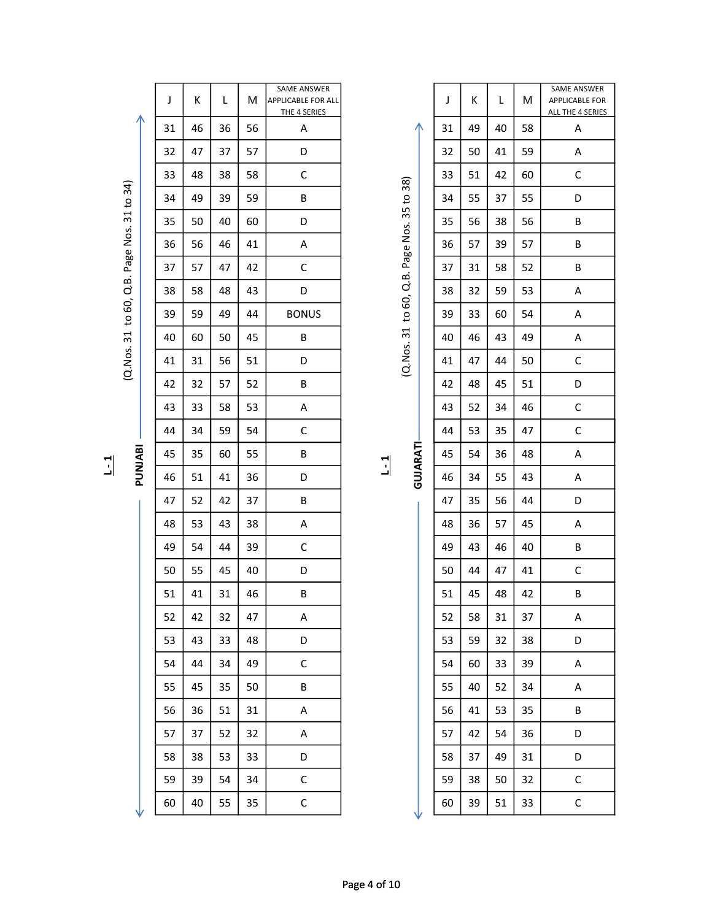|              |                     | J  | К  | L  | M  | SAME ANSWER<br>APPLICABLE FOR ALL<br>THE 4 SERIES |         |                                             |   | J  | К  | Г  | M  | <b>SAME ANSV</b><br>APPLICABLE<br>ALL THE 4 SE |
|--------------|---------------------|----|----|----|----|---------------------------------------------------|---------|---------------------------------------------|---|----|----|----|----|------------------------------------------------|
|              | ∧                   | 31 | 46 | 36 | 56 | A                                                 |         |                                             | ∧ | 31 | 49 | 40 | 58 | A                                              |
|              |                     | 32 | 47 | 37 | 57 | D                                                 |         |                                             |   | 32 | 50 | 41 | 59 | A                                              |
|              |                     | 33 | 48 | 38 | 58 | $\mathsf C$                                       |         |                                             |   | 33 | 51 | 42 | 60 | $\mathsf C$                                    |
|              |                     | 34 | 49 | 39 | 59 | B                                                 |         |                                             |   | 34 | 55 | 37 | 55 | D                                              |
|              | Page Nos. 31 to 34) | 35 | 50 | 40 | 60 | D                                                 |         | (Q. Nos. 31 to 60, Q.B. Page Nos. 35 to 38) |   | 35 | 56 | 38 | 56 | $\sf B$                                        |
|              |                     | 36 | 56 | 46 | 41 | A                                                 |         |                                             |   | 36 | 57 | 39 | 57 | B                                              |
|              |                     | 37 | 57 | 47 | 42 | C                                                 |         |                                             |   | 37 | 31 | 58 | 52 | B                                              |
|              |                     | 38 | 58 | 48 | 43 | D                                                 |         |                                             |   | 38 | 32 | 59 | 53 | Α                                              |
|              | to 60, Q.B.         | 39 | 59 | 49 | 44 | <b>BONUS</b>                                      |         |                                             |   | 39 | 33 | 60 | 54 | A                                              |
|              |                     | 40 | 60 | 50 | 45 | B                                                 |         |                                             |   | 40 | 46 | 43 | 49 | Α                                              |
|              | (Q.Nos. 31          | 41 | 31 | 56 | 51 | D                                                 |         |                                             |   | 41 | 47 | 44 | 50 | $\mathsf C$                                    |
|              |                     | 42 | 32 | 57 | 52 | B                                                 |         |                                             |   | 42 | 48 | 45 | 51 | D                                              |
|              |                     | 43 | 33 | 58 | 53 | Α                                                 |         |                                             |   | 43 | 52 | 34 | 46 | $\mathsf C$                                    |
|              |                     | 44 | 34 | 59 | 54 | $\mathsf C$                                       |         |                                             |   | 44 | 53 | 35 | 47 | $\mathsf C$                                    |
| $\mathbf{L}$ | PUNJABI             | 45 | 35 | 60 | 55 | B                                                 | $1 - 1$ | GUJARATI                                    |   | 45 | 54 | 36 | 48 | A                                              |
|              |                     | 46 | 51 | 41 | 36 | D                                                 |         |                                             |   | 46 | 34 | 55 | 43 | Α                                              |
|              |                     | 47 | 52 | 42 | 37 | $\sf B$                                           |         |                                             |   | 47 | 35 | 56 | 44 | D                                              |
|              |                     | 48 | 53 | 43 | 38 | A                                                 |         |                                             |   | 48 | 36 | 57 | 45 | Α                                              |
|              |                     | 49 | 54 | 44 | 39 | $\mathsf C$                                       |         |                                             |   | 49 | 43 | 46 | 40 | B                                              |
|              |                     | 50 | 55 | 45 | 40 | D                                                 |         |                                             |   | 50 | 44 | 47 | 41 | $\mathsf C$                                    |
|              |                     | 51 | 41 | 31 | 46 | B                                                 |         |                                             |   | 51 | 45 | 48 | 42 | B                                              |
|              |                     | 52 | 42 | 32 | 47 | Α                                                 |         |                                             |   | 52 | 58 | 31 | 37 | Α                                              |
|              |                     | 53 | 43 | 33 | 48 | D                                                 |         |                                             |   | 53 | 59 | 32 | 38 | D                                              |
|              |                     | 54 | 44 | 34 | 49 | $\mathsf C$                                       |         |                                             |   | 54 | 60 | 33 | 39 | A                                              |
|              |                     | 55 | 45 | 35 | 50 | B                                                 |         |                                             |   | 55 | 40 | 52 | 34 | Α                                              |
|              |                     | 56 | 36 | 51 | 31 | A                                                 |         |                                             |   | 56 | 41 | 53 | 35 | B                                              |
|              |                     | 57 | 37 | 52 | 32 | A                                                 |         |                                             |   | 57 | 42 | 54 | 36 | D                                              |
|              |                     | 58 | 38 | 53 | 33 | D                                                 |         |                                             |   | 58 | 37 | 49 | 31 | D                                              |
|              |                     | 59 | 39 | 54 | 34 | $\mathsf C$                                       |         |                                             |   | 59 | 38 | 50 | 32 | $\mathsf C$                                    |
|              |                     | 60 | 40 | 55 | 35 | $\mathsf C$                                       |         |                                             |   | 60 | 39 | 51 | 33 | $\mathsf{C}$                                   |
|              |                     |    |    |    |    |                                                   |         |                                             |   |    |    |    |    |                                                |

|         | J  | К  | L  | M  | SAME ANSWER<br><b>APPLICABLE FOR ALL</b><br>THE 4 SERIES |                |                | J  | К  | L  | M  | SAME ANSWER<br><b>APPLICABLE FOR</b><br>ALL THE 4 SERIES |
|---------|----|----|----|----|----------------------------------------------------------|----------------|----------------|----|----|----|----|----------------------------------------------------------|
| ∧       | 31 | 46 | 36 | 56 | A                                                        |                | ∧              | 31 | 49 | 40 | 58 | A                                                        |
|         | 32 | 47 | 37 | 57 | D                                                        |                |                | 32 | 50 | 41 | 59 | A                                                        |
|         | 33 | 48 | 38 | 58 | C                                                        |                |                | 33 | 51 | 42 | 60 | $\mathsf C$                                              |
|         | 34 | 49 | 39 | 59 | В                                                        |                | 35 to 38)      | 34 | 55 | 37 | 55 | D                                                        |
|         | 35 | 50 | 40 | 60 | D                                                        |                |                | 35 | 56 | 38 | 56 | В                                                        |
|         | 36 | 56 | 46 | 41 | A                                                        |                | Q.B. Page Nos. | 36 | 57 | 39 | 57 | В                                                        |
|         | 37 | 57 | 47 | 42 | C                                                        |                |                | 37 | 31 | 58 | 52 | В                                                        |
|         | 38 | 58 | 48 | 43 | D                                                        |                |                | 38 | 32 | 59 | 53 | A                                                        |
|         | 39 | 59 | 49 | 44 | <b>BONUS</b>                                             |                | to $60$ ,      | 39 | 33 | 60 | 54 | A                                                        |
|         | 40 | 60 | 50 | 45 | В                                                        |                |                | 40 | 46 | 43 | 49 | A                                                        |
|         | 41 | 31 | 56 | 51 | D                                                        |                | (Q.Nos. 31     | 41 | 47 | 44 | 50 | С                                                        |
|         | 42 | 32 | 57 | 52 | В                                                        |                |                | 42 | 48 | 45 | 51 | D                                                        |
|         | 43 | 33 | 58 | 53 | A                                                        |                |                | 43 | 52 | 34 | 46 | $\mathsf C$                                              |
|         | 44 | 34 | 59 | 54 | C                                                        |                |                | 44 | 53 | 35 | 47 | C                                                        |
| PUNJABI | 45 | 35 | 60 | 55 | В                                                        |                | GUJARATI       | 45 | 54 | 36 | 48 | A                                                        |
|         | 46 | 51 | 41 | 36 | D                                                        | $\overline{1}$ |                | 46 | 34 | 55 | 43 | A                                                        |
|         | 47 | 52 | 42 | 37 | В                                                        |                |                | 47 | 35 | 56 | 44 | D                                                        |
|         | 48 | 53 | 43 | 38 | A                                                        |                |                | 48 | 36 | 57 | 45 | A                                                        |
|         | 49 | 54 | 44 | 39 | С                                                        |                |                | 49 | 43 | 46 | 40 | В                                                        |
|         | 50 | 55 | 45 | 40 | D                                                        |                |                | 50 | 44 | 47 | 41 | С                                                        |
|         | 51 | 41 | 31 | 46 | В                                                        |                |                | 51 | 45 | 48 | 42 | B                                                        |
|         | 52 | 42 | 32 | 47 | A                                                        |                |                | 52 | 58 | 31 | 37 | A                                                        |
|         | 53 | 43 | 33 | 48 | D                                                        |                |                | 53 | 59 | 32 | 38 | D                                                        |
|         | 54 | 44 | 34 | 49 | $\mathsf{C}$                                             |                |                | 54 | 60 | 33 | 39 | A                                                        |
|         | 55 | 45 | 35 | 50 | B                                                        |                |                | 55 | 40 | 52 | 34 | A                                                        |
|         | 56 | 36 | 51 | 31 | A                                                        |                |                | 56 | 41 | 53 | 35 | B                                                        |
|         | 57 | 37 | 52 | 32 | A                                                        |                |                | 57 | 42 | 54 | 36 | D                                                        |
|         | 58 | 38 | 53 | 33 | D                                                        |                |                | 58 | 37 | 49 | 31 | D                                                        |
|         | 59 | 39 | 54 | 34 | $\mathsf{C}$                                             |                |                | 59 | 38 | 50 | 32 | $\mathsf C$                                              |
|         | 60 | 40 | 55 | 35 | $\mathsf C$                                              |                |                | 60 | 39 | 51 | 33 | $\mathsf C$                                              |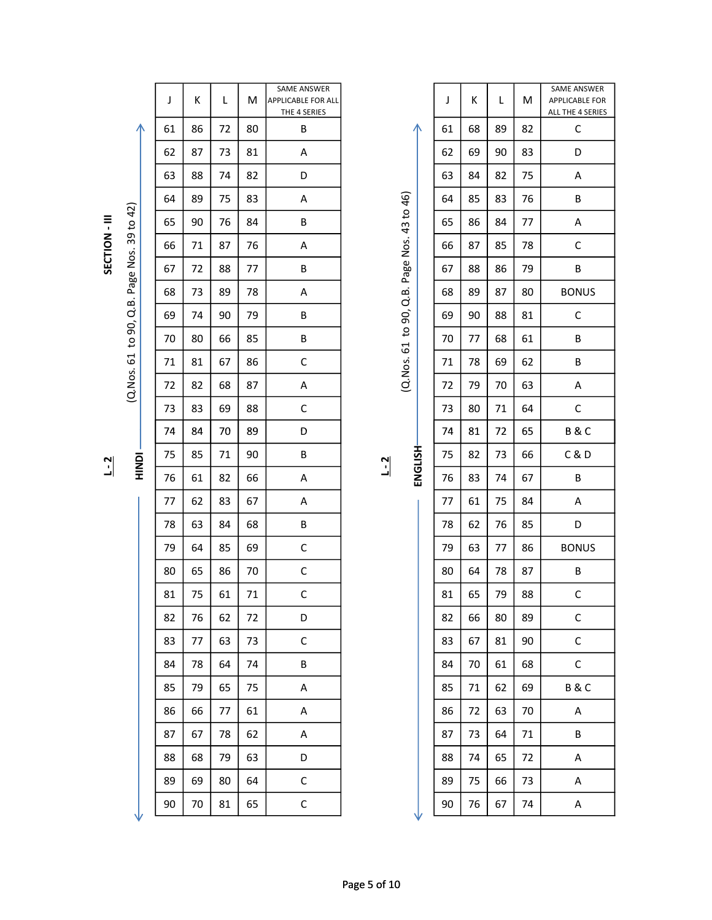J K L M SAME ANSWER APPLICABLE FOR ALL THE 4 SERIES <sup>74</sup> <sup>84</sup> <sup>70</sup> <sup>89</sup> <sup>D</sup> <sup>74</sup> <sup>81</sup> <sup>72</sup> <sup>65</sup> B & C SECTION - III (Q.Nos. 61 to 90, Q.B. Page Nos. 39 to 42) (Q.Nos. 61 to 90, Q.B. Page Nos. 43 to 46)

|                      |                     | J  | К  | L  | M  | SAME ANSWER<br><b>APPLICABLE FOR ALL</b> |         |                     |         | J  | К  | L  | M  | SAME ANSWER<br>APPLICABLE FOR |  |
|----------------------|---------------------|----|----|----|----|------------------------------------------|---------|---------------------|---------|----|----|----|----|-------------------------------|--|
|                      |                     |    |    |    |    | THE 4 SERIES                             |         |                     |         |    |    |    |    | ALL THE 4 SERIES              |  |
|                      |                     | 61 | 86 | 72 | 80 | B                                        |         |                     | л       | 61 | 68 | 89 | 82 | $\mathsf C$                   |  |
|                      |                     | 62 | 87 | 73 | 81 | Α                                        |         |                     |         | 62 | 69 | 90 | 83 | D                             |  |
|                      |                     | 63 | 88 | 74 | 82 | D                                        |         |                     |         | 63 | 84 | 82 | 75 | A                             |  |
|                      |                     | 64 | 89 | 75 | 83 | A                                        |         |                     |         | 64 | 85 | 83 | 76 | $\sf B$                       |  |
|                      |                     | 65 | 90 | 76 | 84 | B                                        |         |                     |         | 65 | 86 | 84 | 77 | A                             |  |
| <b>SECTION - III</b> |                     | 66 | 71 | 87 | 76 | Α                                        |         |                     |         | 66 | 87 | 85 | 78 | $\mathsf C$                   |  |
|                      | Page Nos. 39 to 42) | 67 | 72 | 88 | 77 | B                                        |         | Page Nos. 43 to 46) |         | 67 | 88 | 86 | 79 | $\sf B$                       |  |
|                      |                     | 68 | 73 | 89 | 78 | Α                                        |         |                     |         | 68 | 89 | 87 | 80 | <b>BONUS</b>                  |  |
|                      | Q.B.                | 69 | 74 | 90 | 79 | B                                        |         | to 90, Q.B.         |         | 69 | 90 | 88 | 81 | $\mathsf C$                   |  |
|                      | to 90,              | 70 | 80 | 66 | 85 | B                                        |         |                     |         | 70 | 77 | 68 | 61 | B                             |  |
|                      | 61                  | 71 | 81 | 67 | 86 | $\mathsf C$                              |         | (Q.Nos. 61          |         | 71 | 78 | 69 | 62 | B                             |  |
|                      | (Q.Nos.             | 72 | 82 | 68 | 87 | Α                                        |         |                     |         | 72 | 79 | 70 | 63 | Α                             |  |
|                      |                     | 73 | 83 | 69 | 88 | $\mathsf C$                              |         |                     |         | 73 | 80 | 71 | 64 | $\mathsf C$                   |  |
|                      |                     | 74 | 84 | 70 | 89 | D                                        |         |                     |         | 74 | 81 | 72 | 65 | B&C                           |  |
|                      |                     | 75 | 85 | 71 | 90 | B                                        |         |                     |         | 75 | 82 | 73 | 66 | C & D                         |  |
| $-2$                 | <b>NONIH</b>        | 76 | 61 | 82 | 66 | A                                        | $L - 2$ |                     | ENGLISH | 76 | 83 | 74 | 67 | $\sf B$                       |  |
|                      |                     | 77 | 62 | 83 | 67 | Α                                        |         |                     |         | 77 | 61 | 75 | 84 | A                             |  |
|                      |                     | 78 | 63 | 84 | 68 | B                                        |         |                     |         | 78 | 62 | 76 | 85 | D                             |  |
|                      |                     | 79 | 64 | 85 | 69 | $\mathsf C$                              |         |                     |         | 79 | 63 | 77 | 86 | <b>BONUS</b>                  |  |
|                      |                     | 80 | 65 | 86 | 70 | $\mathsf C$                              |         |                     |         | 80 | 64 | 78 | 87 | B                             |  |
|                      |                     | 81 | 75 | 61 | 71 | $\mathsf C$                              |         |                     |         | 81 | 65 | 79 | 88 | $\mathsf C$                   |  |
|                      |                     | 82 | 76 | 62 | 72 | D                                        |         |                     |         | 82 | 66 | 80 | 89 | $\mathsf C$                   |  |
|                      |                     | 83 | 77 | 63 | 73 | $\mathsf C$                              |         |                     |         | 83 | 67 | 81 | 90 | $\mathsf C$                   |  |
|                      |                     | 84 | 78 | 64 | 74 | B                                        |         |                     |         | 84 | 70 | 61 | 68 | $\mathsf{C}$                  |  |
|                      |                     | 85 | 79 | 65 | 75 | A                                        |         |                     |         | 85 | 71 | 62 | 69 | B&C                           |  |
|                      |                     | 86 | 66 | 77 | 61 | A                                        |         |                     |         | 86 | 72 | 63 | 70 | A                             |  |
|                      |                     | 87 | 67 | 78 | 62 | A                                        |         |                     |         | 87 | 73 | 64 | 71 | B                             |  |
|                      |                     | 88 | 68 | 79 | 63 | D                                        |         |                     |         | 88 | 74 | 65 | 72 | A                             |  |
|                      |                     | 89 | 69 | 80 | 64 | $\mathsf C$                              |         |                     |         | 89 | 75 | 66 | 73 | A                             |  |
|                      |                     | 90 | 70 | 81 | 65 | $\mathsf C$                              |         |                     |         | 90 | 76 | 67 | 74 | A                             |  |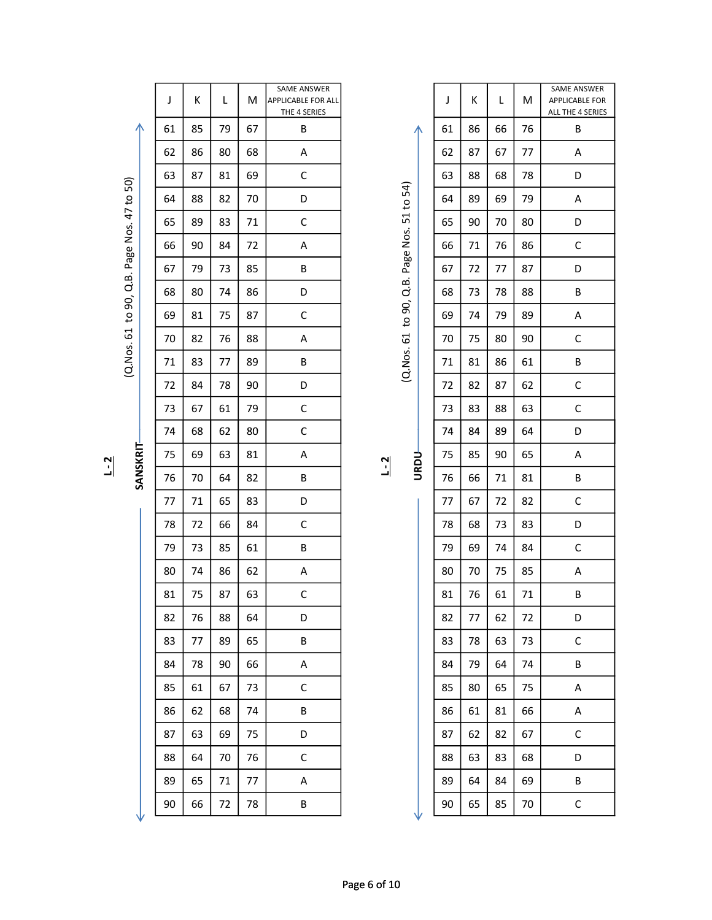| J  | К  | L  | M  | SAME ANSWER<br><b>APPLICABLE FOR ALL</b><br>THE 4 SERIES |         |                     | J  | К  | L  | M  | SAME ANSWER<br>APPLICABLE FOR<br>ALL THE 4 SERIES |
|----|----|----|----|----------------------------------------------------------|---------|---------------------|----|----|----|----|---------------------------------------------------|
| 61 | 85 | 79 | 67 | B                                                        |         | ∧                   | 61 | 86 | 66 | 76 | В                                                 |
| 62 | 86 | 80 | 68 | A                                                        |         |                     | 62 | 87 | 67 | 77 | Α                                                 |
| 63 | 87 | 81 | 69 | $\mathsf C$                                              |         |                     | 63 | 88 | 68 | 78 | D                                                 |
| 64 | 88 | 82 | 70 | D                                                        |         |                     | 64 | 89 | 69 | 79 | Α                                                 |
| 65 | 89 | 83 | 71 | $\mathsf C$                                              |         |                     | 65 | 90 | 70 | 80 | D                                                 |
| 66 | 90 | 84 | 72 | A                                                        |         | Page Nos. 51 to 54) | 66 | 71 | 76 | 86 | C                                                 |
| 67 | 79 | 73 | 85 | B                                                        |         |                     | 67 | 72 | 77 | 87 | D                                                 |
| 68 | 80 | 74 | 86 | D                                                        |         | Q.B.                | 68 | 73 | 78 | 88 | В                                                 |
| 69 | 81 | 75 | 87 | C                                                        |         | to 90,              | 69 | 74 | 79 | 89 | A                                                 |
| 70 | 82 | 76 | 88 | A                                                        |         |                     | 70 | 75 | 80 | 90 | C                                                 |
| 71 | 83 | 77 | 89 | В                                                        |         | (Q.Nos. 61          | 71 | 81 | 86 | 61 | В                                                 |
| 72 | 84 | 78 | 90 | D                                                        |         |                     | 72 | 82 | 87 | 62 | $\mathsf C$                                       |
| 73 | 67 | 61 | 79 | C                                                        |         |                     | 73 | 83 | 88 | 63 | C                                                 |
| 74 | 68 | 62 | 80 | $\mathsf C$                                              |         |                     | 74 | 84 | 89 | 64 | D                                                 |
| 75 | 69 | 63 | 81 | A                                                        |         |                     | 75 | 85 | 90 | 65 | A                                                 |
| 76 | 70 | 64 | 82 | В                                                        | $L - 2$ | <b>URDU-</b>        | 76 | 66 | 71 | 81 | В                                                 |
| 77 | 71 | 65 | 83 | D                                                        |         |                     | 77 | 67 | 72 | 82 | C                                                 |
| 78 | 72 | 66 | 84 | $\mathsf C$                                              |         |                     | 78 | 68 | 73 | 83 | D                                                 |
| 79 | 73 | 85 | 61 | В                                                        |         |                     | 79 | 69 | 74 | 84 | C                                                 |
| 80 | 74 | 86 | 62 | A                                                        |         |                     | 80 | 70 | 75 | 85 | A                                                 |
| 81 | 75 | 87 | 63 | $\mathsf C$                                              |         |                     | 81 | 76 | 61 | 71 | B                                                 |
| 82 | 76 | 88 | 64 | D                                                        |         |                     | 82 | 77 | 62 | 72 | D                                                 |
| 83 | 77 | 89 | 65 | B                                                        |         |                     | 83 | 78 | 63 | 73 | $\mathsf C$                                       |
| 84 | 78 | 90 | 66 | A                                                        |         |                     | 84 | 79 | 64 | 74 | B                                                 |
| 85 | 61 | 67 | 73 | $\mathsf C$                                              |         |                     | 85 | 80 | 65 | 75 | A                                                 |
| 86 | 62 | 68 | 74 | B                                                        |         |                     | 86 | 61 | 81 | 66 | $\mathsf{A}$                                      |
| 87 | 63 | 69 | 75 | D                                                        |         |                     | 87 | 62 | 82 | 67 | $\mathsf C$                                       |
| 88 | 64 | 70 | 76 | $\mathsf C$                                              |         |                     | 88 | 63 | 83 | 68 | D                                                 |
| 89 | 65 | 71 | 77 | A                                                        |         |                     | 89 | 64 | 84 | 69 | B                                                 |
| 90 | 66 | 72 | 78 | B                                                        |         | ν                   | 90 | 65 | 85 | 70 | $\mathsf{C}$                                      |

| ٦<br>Ċ |
|--------|
|        |
|        |
|        |
|        |
|        |

| о |  |
|---|--|
| ≊ |  |
|   |  |

|         |                     | J  | К  | L  | M  | SAME ANSWER<br>APPLICABLE FOR ALL<br>THE 4 SERIES |                   |                                 | J  | К  | L  | М  | SAME ANSWER<br>APPLICABLE FOR<br>ALL THE 4 SERIES |
|---------|---------------------|----|----|----|----|---------------------------------------------------|-------------------|---------------------------------|----|----|----|----|---------------------------------------------------|
|         | ∧                   | 61 | 85 | 79 | 67 | B                                                 |                   | ∧                               | 61 | 86 | 66 | 76 | B                                                 |
|         |                     | 62 | 86 | 80 | 68 | A                                                 |                   |                                 | 62 | 87 | 67 | 77 | Α                                                 |
|         |                     | 63 | 87 | 81 | 69 | $\mathsf C$                                       |                   |                                 | 63 | 88 | 68 | 78 | D                                                 |
|         |                     | 64 | 88 | 82 | 70 | D                                                 |                   |                                 | 64 | 89 | 69 | 79 | Α                                                 |
|         |                     | 65 | 89 | 83 | 71 | $\mathsf C$                                       |                   |                                 | 65 | 90 | 70 | 80 | D                                                 |
|         | Page Nos. 47 to 50) | 66 | 90 | 84 | 72 | А                                                 |                   |                                 | 66 | 71 | 76 | 86 | $\mathsf C$                                       |
|         |                     | 67 | 79 | 73 | 85 | B                                                 |                   |                                 | 67 | 72 | 77 | 87 | D                                                 |
|         | Q.B.                | 68 | 80 | 74 | 86 | D                                                 |                   | to 90, Q.B. Page Nos. 51 to 54) | 68 | 73 | 78 | 88 | B                                                 |
|         | to 90,              | 69 | 81 | 75 | 87 | $\mathsf C$                                       |                   |                                 | 69 | 74 | 79 | 89 | Α                                                 |
|         | (Q.Nos. 61          | 70 | 82 | 76 | 88 | A                                                 |                   |                                 | 70 | 75 | 80 | 90 | $\mathsf C$                                       |
|         |                     | 71 | 83 | 77 | 89 | B                                                 |                   | (Q.Nos. 61                      | 71 | 81 | 86 | 61 | B                                                 |
|         |                     | 72 | 84 | 78 | 90 | D                                                 |                   |                                 | 72 | 82 | 87 | 62 | $\mathsf C$                                       |
|         |                     | 73 | 67 | 61 | 79 | $\mathsf C$                                       |                   |                                 | 73 | 83 | 88 | 63 | $\mathsf C$                                       |
|         |                     | 74 | 68 | 62 | 80 | $\mathsf C$                                       |                   |                                 | 74 | 84 | 89 | 64 | D                                                 |
| $L - 2$ | SANSKRIT            | 75 | 69 | 63 | 81 | А                                                 | $\overline{1}$ -2 | <b>URDU</b>                     | 75 | 85 | 90 | 65 | Α                                                 |
|         |                     | 76 | 70 | 64 | 82 | B                                                 |                   |                                 | 76 | 66 | 71 | 81 | $\sf B$                                           |
|         |                     | 77 | 71 | 65 | 83 | D                                                 |                   |                                 | 77 | 67 | 72 | 82 | $\mathsf C$                                       |
|         |                     | 78 | 72 | 66 | 84 | $\mathsf C$                                       |                   |                                 | 78 | 68 | 73 | 83 | D                                                 |
|         |                     | 79 | 73 | 85 | 61 | B                                                 |                   |                                 | 79 | 69 | 74 | 84 | $\mathsf C$                                       |
|         |                     | 80 | 74 | 86 | 62 | Α                                                 |                   |                                 | 80 | 70 | 75 | 85 | Α                                                 |
|         |                     | 81 | 75 | 87 | 63 | $\mathsf C$                                       |                   |                                 | 81 | 76 | 61 | 71 | $\sf B$                                           |
|         |                     | 82 | 76 | 88 | 64 | D                                                 |                   |                                 | 82 | 77 | 62 | 72 | D                                                 |
|         |                     | 83 | 77 | 89 | 65 | B                                                 |                   |                                 | 83 | 78 | 63 | 73 | $\mathsf{C}$                                      |
|         |                     | 84 | 78 | 90 | 66 | A                                                 |                   |                                 | 84 | 79 | 64 | 74 | $\, {\sf B}$                                      |
|         |                     | 85 | 61 | 67 | 73 | $\mathsf C$                                       |                   |                                 | 85 | 80 | 65 | 75 | A                                                 |
|         |                     | 86 | 62 | 68 | 74 | B                                                 |                   |                                 | 86 | 61 | 81 | 66 | A                                                 |
|         |                     | 87 | 63 | 69 | 75 | D                                                 |                   |                                 | 87 | 62 | 82 | 67 | $\mathsf{C}$                                      |
|         |                     | 88 | 64 | 70 | 76 | $\mathsf C$                                       |                   |                                 | 88 | 63 | 83 | 68 | D                                                 |
|         |                     | 89 | 65 | 71 | 77 | A                                                 |                   |                                 | 89 | 64 | 84 | 69 | B                                                 |
|         |                     | 90 | 66 | 72 | 78 | B                                                 |                   |                                 | 90 | 65 | 85 | 70 | $\mathsf C$                                       |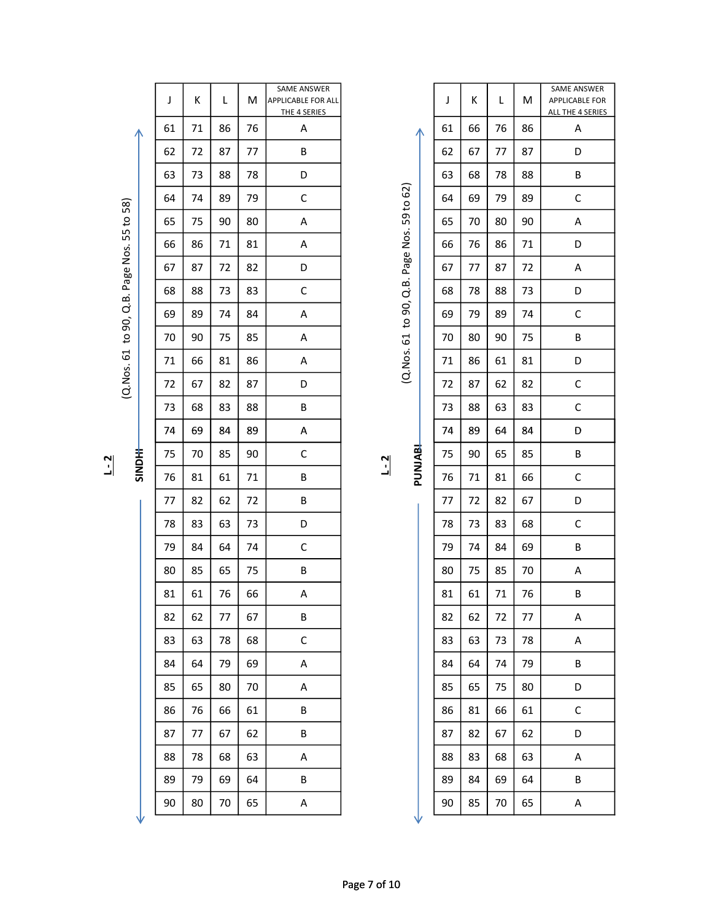$J$  K  $L$  M SAME ANSWER APPLICABLE FOR ALL THE 4 SERIES <sup>74</sup> <sup>69</sup> <sup>84</sup> <sup>89</sup> <sup>A</sup> <sup>74</sup> <sup>89</sup> <sup>64</sup> <sup>84</sup> <sup>D</sup> (Q.Nos. 61 to 90, Q.B. Page Nos. 55 to 58) (Q.Nos. 61 to 90, Q.B. Page Nos. 59 to 62) 90 80 70 65 A 90 85 70 65 A SINDHI PUNJABI L - 2 L - 2

|    |    |    |    | THE 4 SERIES |                |                     |    |    |    |    | ALL THE 4 SERIES |
|----|----|----|----|--------------|----------------|---------------------|----|----|----|----|------------------|
| 61 | 71 | 86 | 76 | A            |                |                     | 61 | 66 | 76 | 86 | A                |
| 62 | 72 | 87 | 77 | B            |                |                     | 62 | 67 | 77 | 87 | D                |
| 63 | 73 | 88 | 78 | D            |                |                     | 63 | 68 | 78 | 88 | B                |
| 64 | 74 | 89 | 79 | $\mathsf C$  |                | Page Nos. 59 to 62) | 64 | 69 | 79 | 89 | C                |
| 65 | 75 | 90 | 80 | A            |                |                     | 65 | 70 | 80 | 90 | Α                |
| 66 | 86 | 71 | 81 | A            |                |                     | 66 | 76 | 86 | 71 | D                |
| 67 | 87 | 72 | 82 | D            |                |                     | 67 | 77 | 87 | 72 | A                |
| 68 | 88 | 73 | 83 | $\mathsf C$  |                | to 90, Q.B.         | 68 | 78 | 88 | 73 | D                |
| 69 | 89 | 74 | 84 | A            |                |                     | 69 | 79 | 89 | 74 | C                |
| 70 | 90 | 75 | 85 | A            |                |                     | 70 | 80 | 90 | 75 | B                |
| 71 | 66 | 81 | 86 | A            |                | (Q.Nos. 61          | 71 | 86 | 61 | 81 | D                |
| 72 | 67 | 82 | 87 | D            |                |                     | 72 | 87 | 62 | 82 | C                |
| 73 | 68 | 83 | 88 | B            |                |                     | 73 | 88 | 63 | 83 | $\mathsf C$      |
| 74 | 69 | 84 | 89 | A            |                |                     | 74 | 89 | 64 | 84 | D                |
| 75 | 70 | 85 | 90 | С            | $\overline{1}$ | PUNJABI             | 75 | 90 | 65 | 85 | B                |
| 76 | 81 | 61 | 71 | B            |                |                     | 76 | 71 | 81 | 66 | $\mathsf C$      |
| 77 | 82 | 62 | 72 | B            |                |                     | 77 | 72 | 82 | 67 | D                |
| 78 | 83 | 63 | 73 | D            |                |                     | 78 | 73 | 83 | 68 | C                |
| 79 | 84 | 64 | 74 | $\mathsf C$  |                |                     | 79 | 74 | 84 | 69 | B                |
| 80 | 85 | 65 | 75 | B            |                |                     | 80 | 75 | 85 | 70 | Α                |
| 81 | 61 | 76 | 66 | A            |                |                     | 81 | 61 | 71 | 76 | B                |
| 82 | 62 | 77 | 67 | $\sf B$      |                |                     | 82 | 62 | 72 | 77 | A                |
| 83 | 63 | 78 | 68 | C            |                |                     | 83 | 63 | 73 | 78 | Α                |
| 84 | 64 | 79 | 69 | Α            |                |                     | 84 | 64 | 74 | 79 | В                |
| 85 | 65 | 80 | 70 | Α            |                |                     | 85 | 65 | 75 | 80 | D                |
| 86 | 76 | 66 | 61 | B            |                |                     | 86 | 81 | 66 | 61 | C                |
| 87 | 77 | 67 | 62 | В            |                |                     | 87 | 82 | 67 | 62 | D                |
| 88 | 78 | 68 | 63 | Α            |                |                     | 88 | 83 | 68 | 63 | Α                |
| 89 | 79 | 69 | 64 | B            |                |                     | 89 | 84 | 69 | 64 | В                |
| 90 | 80 | 70 | 65 | A            |                |                     | 90 | 85 | 70 | 65 | Α                |
|    |    |    |    |              |                |                     |    |    |    |    |                  |
|    |    |    |    |              |                |                     |    |    |    |    |                  |

J K L M

SAME ANSWER APPLICABLE FOR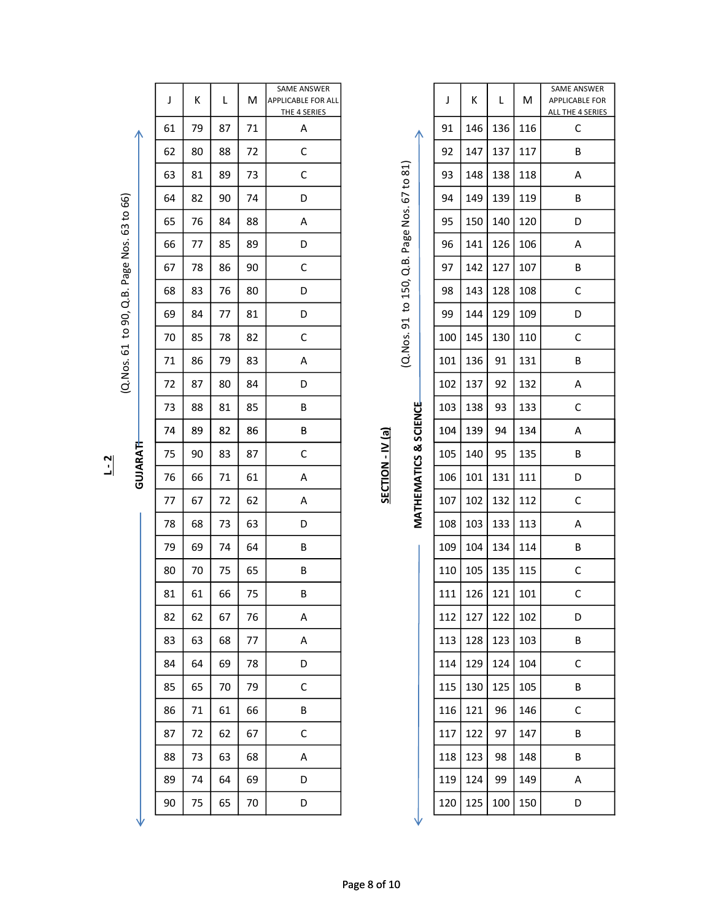|                            | J  | Κ  | L  | M  | SAME ANSWER<br>APPLICABLE FOR ALL<br>THE 4 SERIES |                  |                       |                          | J   | Κ               | L   | M   | SAME ANSWER<br>APPLICABLE FOR<br>ALL THE 4 SERIES |
|----------------------------|----|----|----|----|---------------------------------------------------|------------------|-----------------------|--------------------------|-----|-----------------|-----|-----|---------------------------------------------------|
|                            | 61 | 79 | 87 | 71 | Α                                                 |                  |                       |                          | 91  | 146             | 136 | 116 | $\mathsf C$                                       |
|                            | 62 | 80 | 88 | 72 | $\mathsf C$                                       |                  |                       |                          | 92  | 147             | 137 | 117 | B                                                 |
|                            | 63 | 81 | 89 | 73 | $\mathsf C$                                       |                  | 67 to 81)             |                          | 93  | 148             | 138 | 118 | А                                                 |
|                            | 64 | 82 | 90 | 74 | D                                                 |                  |                       |                          | 94  | 149             | 139 | 119 | В                                                 |
| Q.B. Page Nos. 63 to 66)   | 65 | 76 | 84 | 88 | Α                                                 |                  | Page Nos.             |                          | 95  | 150             | 140 | 120 | D                                                 |
|                            | 66 | 77 | 85 | 89 | D                                                 |                  |                       |                          | 96  | 141             | 126 | 106 | А                                                 |
|                            | 67 | 78 | 86 | 90 | C                                                 |                  | Q.B.                  |                          | 97  | 142             | 127 | 107 | B                                                 |
|                            | 68 | 83 | 76 | 80 | D                                                 |                  | to 150,               |                          | 98  | 143             | 128 | 108 | С                                                 |
|                            | 69 | 84 | 77 | 81 | D                                                 |                  |                       |                          | 99  | 144             | 129 | 109 | D                                                 |
| (Q. Nos. 61 to 90,         | 70 | 85 | 78 | 82 | C                                                 |                  | (Q.Nos. 91            |                          | 100 | 145             | 130 | 110 | С                                                 |
|                            | 71 | 86 | 79 | 83 | А                                                 |                  |                       |                          | 101 | 136             | 91  | 131 | B                                                 |
|                            | 72 | 87 | 80 | 84 | D                                                 |                  |                       |                          | 102 | 137             | 92  | 132 | А                                                 |
|                            | 73 | 88 | 81 | 85 | B                                                 |                  |                       |                          | 103 | 138             | 93  | 133 | $\mathsf C$                                       |
|                            | 74 | 89 | 82 | 86 | В                                                 |                  | MATHEMATICS & SCIENCE |                          | 104 | 139             | 94  | 134 | A                                                 |
| <b>GUJARATH</b><br>$L - 2$ | 75 | 90 | 83 | 87 | C                                                 | SECTION - IV (a) |                       |                          | 105 | 140             | 95  | 135 | В                                                 |
|                            | 76 | 66 | 71 | 61 | Α                                                 |                  |                       |                          | 106 | 101             | 131 | 111 | D                                                 |
|                            | 77 | 67 | 72 | 62 | Α                                                 |                  |                       |                          | 107 | 102             | 132 | 112 | С                                                 |
|                            | 78 | 68 | 73 | 63 | D                                                 |                  |                       |                          | 108 | 103             | 133 | 113 | А                                                 |
|                            | 79 | 69 | 74 | 64 | B                                                 |                  |                       | $\overline{\phantom{a}}$ | 109 | 104             | 134 | 114 | B                                                 |
|                            | 80 | 70 | 75 | 65 | B                                                 |                  |                       |                          |     | 110   105   135 |     | 115 | $\mathsf C$                                       |
|                            | 81 | 61 | 66 | 75 | B                                                 |                  |                       |                          | 111 | $126$ 121       |     | 101 | $\mathsf{C}$                                      |
|                            | 82 | 62 | 67 | 76 | A                                                 |                  |                       |                          | 112 | 127             | 122 | 102 | D                                                 |
|                            | 83 | 63 | 68 | 77 | A                                                 |                  |                       |                          | 113 | 128             | 123 | 103 | B                                                 |
|                            | 84 | 64 | 69 | 78 | D                                                 |                  |                       |                          | 114 | 129             | 124 | 104 | $\mathsf{C}$                                      |
|                            | 85 | 65 | 70 | 79 | $\mathsf{C}$                                      |                  |                       |                          | 115 | 130             | 125 | 105 | B                                                 |
|                            | 86 | 71 | 61 | 66 | B                                                 |                  |                       |                          | 116 | 121             | 96  | 146 | $\mathsf C$                                       |
|                            | 87 | 72 | 62 | 67 | $\mathsf{C}$                                      |                  |                       |                          | 117 | 122             | 97  | 147 | B                                                 |
|                            | 88 | 73 | 63 | 68 | A                                                 |                  |                       |                          | 118 | 123             | 98  | 148 | B                                                 |
|                            | 89 | 74 | 64 | 69 | D                                                 |                  |                       |                          | 119 | 124             | 99  | 149 | A                                                 |
|                            | 90 | 75 | 65 | 70 | D                                                 |                  |                       |                          |     | 120   125       | 100 | 150 | D                                                 |

| J   | Κ   | Г   | M   | <b>SAME ANSWER</b><br><b>APPLICABLE FOR</b><br>ALL THE 4 SERIES |
|-----|-----|-----|-----|-----------------------------------------------------------------|
| 91  | 146 | 136 | 116 | C                                                               |
| 92  | 147 | 137 | 117 | B                                                               |
| 93  | 148 | 138 | 118 | A                                                               |
| 94  | 149 | 139 | 119 | В                                                               |
| 95  | 150 | 140 | 120 | D                                                               |
| 96  | 141 | 126 | 106 | Α                                                               |
| 97  | 142 | 127 | 107 | В                                                               |
| 98  | 143 | 128 | 108 | C                                                               |
| 99  | 144 | 129 | 109 | D                                                               |
| 100 | 145 | 130 | 110 | C                                                               |
| 101 | 136 | 91  | 131 | B                                                               |
| 102 | 137 | 92  | 132 | A                                                               |
| 103 | 138 | 93  | 133 | C                                                               |
| 104 | 139 | 94  | 134 | A                                                               |
| 105 | 140 | 95  | 135 | B                                                               |
| 106 | 101 | 131 | 111 | D                                                               |
| 107 | 102 | 132 | 112 | C                                                               |
| 108 | 103 | 133 | 113 | Α                                                               |
| 109 | 104 | 134 | 114 | B                                                               |
| 110 | 105 | 135 | 115 | С                                                               |
| 111 | 126 | 121 | 101 | C                                                               |
| 112 | 127 | 122 | 102 | D                                                               |
| 113 | 128 | 123 | 103 | В                                                               |
| 114 | 129 | 124 | 104 | С                                                               |
| 115 | 130 | 125 | 105 | В                                                               |
| 116 | 121 | 96  | 146 | C                                                               |
| 117 | 122 | 97  | 147 | В                                                               |
| 118 | 123 | 98  | 148 | В                                                               |
| 119 | 124 | 99  | 149 | Α                                                               |
| 120 | 125 | 100 | 150 | D                                                               |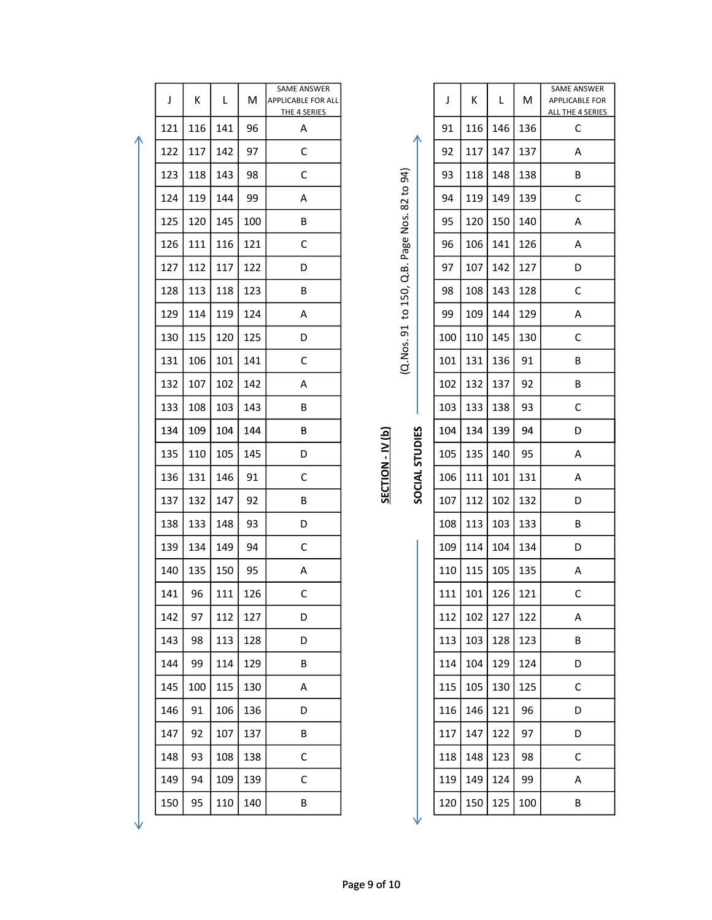| J   | Κ   | L   | M   | SAME ANSWER<br><b>APPLICABLE FOR ALL</b><br>THE 4 SERIES |                     |                | J   | K   | L   | M   | <b>SAME ANSWEI</b><br>APPLICABLE FO<br><b>ALL THE 4 SERIE</b> |
|-----|-----|-----|-----|----------------------------------------------------------|---------------------|----------------|-----|-----|-----|-----|---------------------------------------------------------------|
| 121 | 116 | 141 | 96  | Α                                                        |                     |                | 91  | 116 | 146 | 136 | C                                                             |
| 122 | 117 | 142 | 97  | $\mathsf C$                                              |                     |                | 92  | 117 | 147 | 137 | A                                                             |
| 123 | 118 | 143 | 98  | C                                                        |                     |                | 93  | 118 | 148 | 138 | B                                                             |
| 124 | 119 | 144 | 99  | Α                                                        |                     |                | 94  | 119 | 149 | 139 | С                                                             |
| 125 | 120 | 145 | 100 | B                                                        | Page Nos. 82 to 94) |                | 95  | 120 | 150 | 140 | A                                                             |
| 126 | 111 | 116 | 121 | $\mathsf C$                                              |                     |                | 96  | 106 | 141 | 126 | Α                                                             |
| 127 | 112 | 117 | 122 | D                                                        | d.<br>B.            |                | 97  | 107 | 142 | 127 | D                                                             |
| 128 | 113 | 118 | 123 | B                                                        |                     |                | 98  | 108 | 143 | 128 | $\mathsf C$                                                   |
| 129 | 114 | 119 | 124 | Α                                                        | (Q.Nos. 91 to 150,  |                | 99  | 109 | 144 | 129 | Α                                                             |
| 130 | 115 | 120 | 125 | D                                                        |                     |                | 100 | 110 | 145 | 130 | $\mathsf C$                                                   |
| 131 | 106 | 101 | 141 | $\mathsf C$                                              |                     |                | 101 | 131 | 136 | 91  | B                                                             |
| 132 | 107 | 102 | 142 | Α                                                        |                     |                | 102 | 132 | 137 | 92  | B                                                             |
| 133 | 108 | 103 | 143 | B                                                        |                     |                | 103 | 133 | 138 | 93  | $\mathsf C$                                                   |
| 134 | 109 | 104 | 144 | В                                                        |                     |                | 104 | 134 | 139 | 94  | D                                                             |
| 135 | 110 | 105 | 145 | D                                                        | SECTION - IV (b)    | SOCIAL STUDIES | 105 | 135 | 140 | 95  | A                                                             |
| 136 | 131 | 146 | 91  | C                                                        |                     |                | 106 | 111 | 101 | 131 | A                                                             |
| 137 | 132 | 147 | 92  | B                                                        |                     |                | 107 | 112 | 102 | 132 | D                                                             |
| 138 | 133 | 148 | 93  | D                                                        |                     |                | 108 | 113 | 103 | 133 | B                                                             |
| 139 | 134 | 149 | 94  | $\mathsf C$                                              |                     |                | 109 | 114 | 104 | 134 | D                                                             |
| 140 | 135 | 150 | 95  | А                                                        |                     |                | 110 | 115 | 105 | 135 | A                                                             |
| 141 | 96  | 111 | 126 | С                                                        |                     |                | 111 | 101 | 126 | 121 | $\mathsf C$                                                   |
| 142 | 97  | 112 | 127 | D                                                        |                     |                | 112 | 102 | 127 | 122 | Α                                                             |
| 143 | 98  | 113 | 128 | D                                                        |                     |                | 113 | 103 | 128 | 123 | B                                                             |
| 144 | 99  | 114 | 129 | B                                                        |                     |                | 114 | 104 | 129 | 124 | D                                                             |
| 145 | 100 | 115 | 130 | A                                                        |                     |                | 115 | 105 | 130 | 125 | $\mathsf C$                                                   |
| 146 | 91  | 106 | 136 | D                                                        |                     |                | 116 | 146 | 121 | 96  | D                                                             |
| 147 | 92  | 107 | 137 | B                                                        |                     |                | 117 | 147 | 122 | 97  | D                                                             |
| 148 | 93  | 108 | 138 | $\mathsf C$                                              |                     |                | 118 | 148 | 123 | 98  | $\mathsf C$                                                   |
| 149 | 94  | 109 | 139 | $\mathsf C$                                              |                     |                | 119 | 149 | 124 | 99  | A                                                             |
| 150 | 95  | 110 | 140 | Β                                                        |                     |                | 120 | 150 | 125 | 100 | B                                                             |
|     |     |     |     |                                                          |                     |                |     |     |     |     |                                                               |

Λ

| ı |  |
|---|--|
|   |  |
|   |  |

|  | - |
|--|---|
|  |   |
|  |   |
|  |   |
|  |   |
|  |   |
|  |   |
|  |   |

| )<br>   |  |
|---------|--|
| ַכ<br>: |  |
| 5       |  |
|         |  |
| ٦       |  |
| ٦       |  |
|         |  |
|         |  |
|         |  |
|         |  |
|         |  |

| ı    |  |
|------|--|
|      |  |
| こここし |  |

| J   | К               | L           | M           | SAME ANSWER<br><b>APPLICABLE FOR ALL</b><br>THE 4 SERIES |                |                    | J   | К           | L                     | М   | SAME ANSWER<br>APPLICABLE FOR<br>ALL THE 4 SERIES |
|-----|-----------------|-------------|-------------|----------------------------------------------------------|----------------|--------------------|-----|-------------|-----------------------|-----|---------------------------------------------------|
| 121 | 116             | 141         | 96          | A                                                        |                |                    | 91  | 116         | 146                   | 136 | C                                                 |
| 122 | 117             | 142         | 97          | C                                                        |                | ∧                  | 92  | 117         | 147                   | 137 | A                                                 |
| 123 | 118             | 143         | 98          | С                                                        |                | 94)                | 93  | 118         | 148                   | 138 | В                                                 |
| 124 | 119             | 144         | 99          | A                                                        |                | $\mathsf{S}$<br>82 | 94  | 119         | 149                   | 139 | C                                                 |
| 125 | 120             | 145         | 100         | B                                                        |                | Nos.               | 95  | 120         | 150                   | 140 | A                                                 |
| 126 | 111             | 116         | 121         | C                                                        |                | Page               | 96  | 106         | 141                   | 126 | A                                                 |
| 127 | 112             | 117         | 122         | D                                                        |                | മ<br>Ċ             | 97  | 107         | 142                   | 127 | D                                                 |
| 128 | 113             | 118         | 123         | B                                                        |                | 150,               | 98  | 108         | 143                   | 128 | C                                                 |
| 129 | 114             | 119         | 124         | A                                                        |                | $\mathsf{c}$       | 99  | 109         | 144                   | 129 | A                                                 |
| 130 | 115             | 120         | 125         | D                                                        |                | 51                 | 100 | 110         | 145                   | 130 | C                                                 |
| 131 | 106             | 101         | 141         | C                                                        |                | (Q.Nos.            | 101 | 131         | 136                   | 91  | В                                                 |
| 132 | 107             | 102         | 142         | A                                                        |                |                    | 102 | 132         | 137                   | 92  | В                                                 |
| 133 | 108             | 103         | 143         | B                                                        | $\mathbf{\Xi}$ |                    | 103 | 133         | 138                   | 93  | C                                                 |
| 134 | 109             | 104         | 144         | В                                                        |                |                    | 104 | 134         | 139                   | 94  | D                                                 |
| 135 | 110             | 105         | 145         | D                                                        | $\geq$         | SOCIAL STUDIES     | 105 | 135         | 140                   | 95  | A                                                 |
| 136 | 131             | 146         | 91          | C                                                        | SECTION        |                    | 106 | 111         | 101                   | 131 | A                                                 |
| 137 | 132             | 147         | 92          | В                                                        |                |                    | 107 | 112         | 102                   | 132 | D                                                 |
| 138 | 133             | 148         | 93          | D                                                        |                |                    | 108 | 113         | 103                   | 133 | В                                                 |
| 139 | 134             | 149         | 94          | C                                                        |                |                    | 109 | 114         | 104                   | 134 | D                                                 |
|     | 140   135   150 |             | 95          | Α                                                        |                |                    |     |             | 110 115 105 135       |     | A                                                 |
| 141 | 96              | 111         | 126         | C                                                        |                |                    |     |             | 111   101   126   121 |     | $\mathsf{C}$                                      |
| 142 | 97              |             | $112$   127 | D                                                        |                |                    |     |             | 112 102 127 122       |     | A                                                 |
| 143 | 98              | 113   128   |             | D                                                        |                |                    |     |             | 113   103   128   123 |     | B                                                 |
| 144 | 99              | 114         | 129         | B                                                        |                |                    |     | 114   104   | 129                   | 124 | D                                                 |
| 145 | 100             | 115         | 130         | A                                                        |                |                    |     |             | 115   105   130       | 125 | C                                                 |
| 146 | 91              | $106$   136 |             | D                                                        |                |                    |     |             | $116$   146   121     | 96  | D                                                 |
| 147 | 92              | 107         | 137         | B                                                        |                |                    |     | $117$   147 | 122                   | 97  | D                                                 |
| 148 | 93              | 108         | 138         | $\mathsf{C}$                                             |                |                    |     |             | 118   148   123       | 98  | C                                                 |
| 149 | 94              | $109$   139 |             | C                                                        |                |                    |     |             | 119   149   124       | 99  | A                                                 |
| 150 | 95              | 110         | 140         | В                                                        |                |                    |     |             | 120   150   125       | 100 | B                                                 |

Page 9 of 10